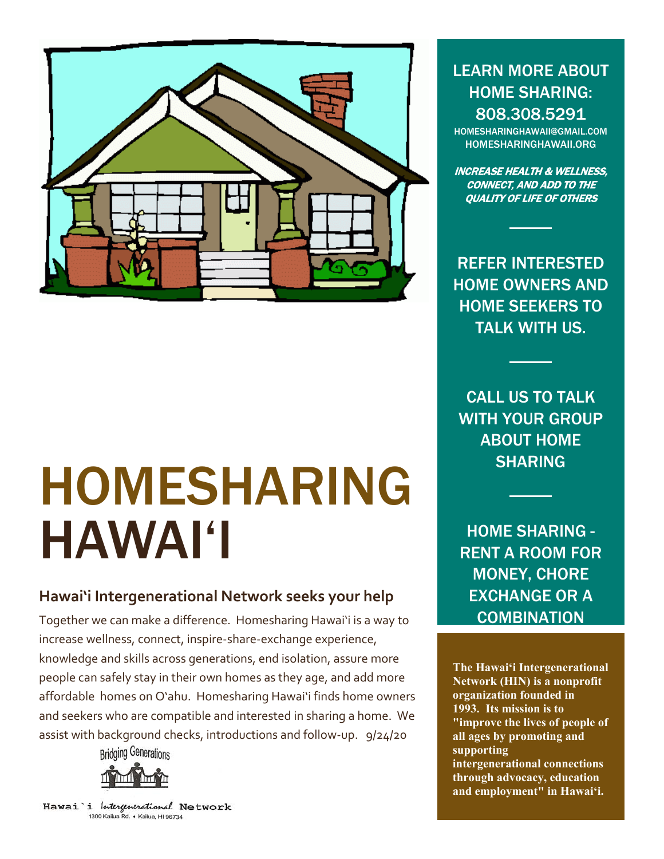

# HOMESHARING HAWAI'I

#### **Hawai'i Intergenerational Network seeks your help**

Together we can make a difference. Homesharing Hawai'i is a way to increase wellness, connect, inspire-share-exchange experience, knowledge and skills across generations, end isolation, assure more people can safely stay in their own homes as they age, and add more affordable homes on O'ahu. Homesharing Hawai'i finds home owners and seekers who are compatible and interested in sharing a home. We assist with background checks, introductions and follow-up. 9/24/20



Hawai 'i Intergenerational Network 1300 Kailua Rd. • Kailua, HI 96734

LEARN MORE ABOUT HOME SHARING: 808.308.5291

[HOMESHARINGHAWAII@GMAIL.COM](mailto:HOMESHARINGHAWAII@GMAIL.COM) HOMESHARINGHAWAII.ORG

INCREASE HEALTH & WELLNESS, CONNECT, AND ADD TO THE QUALITY OF LIFE OF OTHERS

REFER INTERESTED HOME OWNERS AND HOME SEEKERS TO TALK WITH US.

CALL US TO TALK WITH YOUR GROUP ABOUT HOME SHARING

HOME SHARING - RENT A ROOM FOR MONEY, CHORE EXCHANGE OR A **COMBINATION** 

**The Hawai'i Intergenerational Network (HIN) is a nonprofit organization founded in 1993. Its mission is to "improve the lives of people of all ages by promoting and supporting intergenerational connections through advocacy, education and employment" in Hawai'i.**